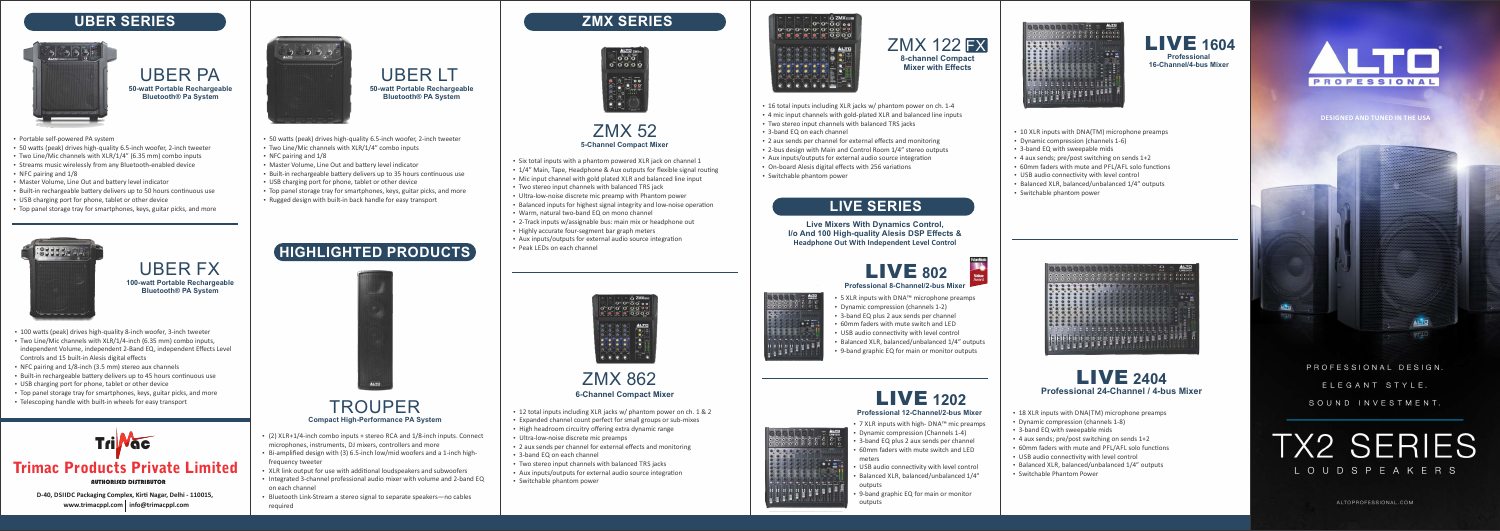

- 18 XLR inputs with DNA(TM) microphone preamps
- Dynamic compression (channels 1-8)
- 3-band EQ with sweepable mids
- $\cdot$  4 aux sends; pre/post switching on sends 1+2
- 60mm faders with mute and PFL/AFL solo functions
- USB audio connectivity with level control
- $\bullet$  Balanced XLR, balanced/unbalanced 1/4" outputs
- Switchable Phantom Power

# **LIVE SERIES**

**Live Mixers With Dynamics Control, I/o And 100 High-quality Alesis DSP Effects & Headphone Out With Independent Level Control**



- 5 XLR inputs with DNA™ microphone preamps
- Dynamic compression (channels 1-2)
- 3-band EQ plus 2 aux sends per channel
- 60mm faders with mute switch and LED
- $\cdot$  USB audio connectivity with level control
- $\cdot$  Balanced XLR, balanced/unbalanced 1/4" outputs
- 9-band graphic EQ for main or monitor outputs

- 7 XLR inputs with high- DNA™ mic preamps
- Dynamic compression (Channels 1-4)
- 3-band EQ plus 2 aux sends per channel
- 60mm faders with mute switch and LED meters
- USB audio connectivity with level control
- Balanced XLR, balanced/unbalanced 1/4" outputs
- 9-band graphic EQ for main or monitor outputs



• Dynamic compression (channels 1-6)

 $\cdot$  3-band EQ with sweepable mids

• USB audio connectivity with level control

 $\cdot$  Switchable phantom power

 $\cdot$  4 aux sends; pre/post switching on sends 1+2

• 60mm faders with mute and PFL/AFL solo functions  $\cdot$  Balanced XLR, balanced/unbalanced 1/4" outputs

 $\cdot$  10 XLR inputs with DNA(TM) microphone preamps

**www.trimacppl.com info@trimacppl.com D-40, DSIIDC Packaging Complex, Kirti Nagar, Delhi - 110015,** 



# **Professional 12-Channel/2-bus Mixer** LIVE **1202**

LIVE **1604 Professional 16-Channel/4-bus Mixer**



AUTHORISED DISTRIBUTOR

# Trimac Products Private Limited



- 
- $\bullet$  (2) XLR+1/4-inch combo inputs + stereo RCA and 1/8-inch inputs. Connect microphones, instruments, DJ mixers, controllers and more
- $\cdot$  Bi-amplified design with (3) 6.5-inch low/mid woofers and a 1-inch highfrequency tweeter
- XLR link output for use with additional loudspeakers and subwoofers
- Integrated 3-channel professional audio mixer with volume and 2-band EQ on each channel
- Bluetooth Link-Stream a stereo signal to separate speakers—no cables required

# **5-Channel Compact Mixer** ZMX 52

- Six total inputs with a phantom powered XLR jack on channel 1
- 1/4" Main, Tape, Headphone & Aux outputs for flexible signal routing
- Mic input channel with gold plated XLR and balanced line input
- Two stereo input channels with balanced TRS jack
- Ultra-low-noise discrete mic preamp with Phantom power
- Balanced inputs for highest signal integrity and low-noise operation
- Warm, natural two-band EQ on mono channel
- 2-Track inputs w/assignable bus: main mix or headphone out
- Highly accurate four-segment bar graph meters
- Aux inputs/outputs for external audio source integration
- $\cdot$  Peak LEDs on each channel



# **ZMX SERIES**



# **6-Channel Compact Mixer** ZMX 862

- $\cdot$  12 total inputs including XLR jacks w/ phantom power on ch. 1 & 2
- Expanded channel count perfect for small groups or sub-mixes
- High headroom circuitry offering extra dynamic range
- Ultra-low-noise discrete mic preamps
- 2 aux sends per channel for external effects and monitoring
- $\cdot$  3-band EQ on each channel
- Two stereo input channels with balanced TRS jacks
- Aux inputs/outputs for external audio source integration
- Switchable phantom power



- 
- 
- 3-band EQ on each channel
- 
- 
- 
- Switchable phantom power





# of on one long that the SES SES SES

 $\frac{1}{\cdot}$ 

 $-1$  ,  $-1$  ,  $-1$  ,  $-1$  ,  $-1$ 



**8-channel Compact Mixer with Effects** ZMX 122 FX

• 4 mic input channels with gold-plated XLR and balanced line inputs • Two stereo input channels with balanced TRS jacks  $\cdot$  16 total inputs including XLR jacks w/ phantom power on ch. 1-4

- 
- 2 aux sends per channel for external effects and monitoring • 2-bus design with Main and Control Room 1/4" stereo outputs
- Aux inputs/outputs for external audio source integration
- On-board Alesis digital effects with 256 variations

# **HIGHLIGHTED PRODUCTS**



**DESIGNED AND TUNED IN THE USA**



PROFESSIONAL DESIGN. ELEGANT STYLE. SOUND INVESTMENT.





UBER PA **50-watt Portable Rechargeable Bluetooth® Pa System** 

- Portable self-powered PA system
- 50 watts (peak) drives high-quality 6.5-inch woofer, 2-inch tweeter
- $\cdot$  Two Line/Mic channels with XLR/1/4" (6.35 mm) combo inputs
- Streams music wirelessly from any Bluetooth-enabled device
- $\cdot$  NFC pairing and  $1/8$
- Master Volume, Line Out and battery level indicator
- Built-in rechargeable battery delivers up to 50 hours continuous use
- USB charging port for phone, tablet or other device
- Top panel storage tray for smartphones, keys, guitar picks, and more



# **UBER SERIES**



UBER FX **100-watt Portable Rechargeable Bluetooth® PA System**

- Two Line/Mic channels with XLR/1/4-inch (6.35 mm) combo inputs, independent Volume, independent 2-Band EQ, independent Effects Level Controls and 15 built-in Alesis digital effects • 100 watts (peak) drives high-quality 8-inch woofer, 3-inch tweeter
- NFC pairing and 1/8-inch (3.5 mm) stereo aux channels
- Built-in rechargeable battery delivers up to 45 hours continuous use
- USB charging port for phone, tablet or other device
- Top panel storage tray for smartphones, keys, guitar picks, and more
- Telescoping handle with built-in wheels for easy transport

# UBER LT **50-watt Portable Rechargeable Bluetooth® PA System**

- 50 watts (peak) drives high-quality 6.5-inch woofer, 2-inch tweeter
- Two Line/Mic channels with XLR/1/4" combo inputs
- $\cdot$  NFC pairing and  $1/8$
- Master Volume, Line Out and battery level indicator
- Built-in rechargeable battery delivers up to 35 hours continuous use
- USB charging port for phone, tablet or other device
- Top panel storage tray for smartphones, keys, guitar picks, and more
- Rugged design with built-in back handle for easy transport